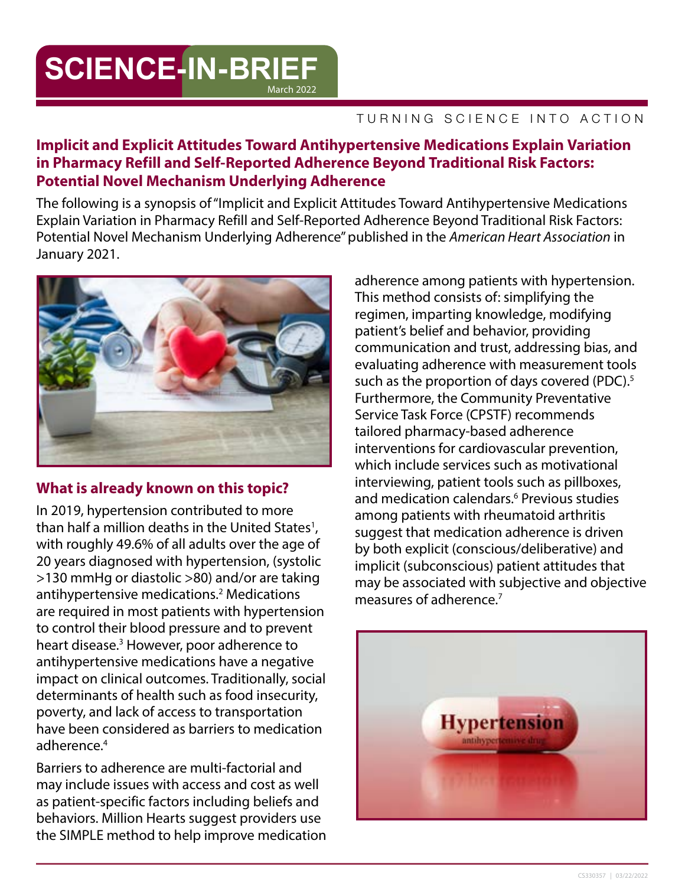# **SCIENCE-IN-BRIEF** March 2022

#### TURNING SCIENCE INTO ACTION

### **Implicit and Explicit Attitudes Toward Antihypertensive Medications Explain Variation in Pharmacy Refill and Self-Reported Adherence Beyond Traditional Risk Factors: Potential Novel Mechanism Underlying Adherence**

The following is a synopsis of "Implicit and Explicit Attitudes Toward Antihypertensive Medications Explain Variation in Pharmacy Refill and Self-Reported Adherence Beyond Traditional Risk Factors: Potential Novel Mechanism Underlying Adherence" published in the *American Heart Association* in January 2021.



# **What is already known on this topic?**

In 2019, hypertension contributed to more than half a million deaths in the United States<sup>1</sup>, with roughly 49.6% of all adults over the age of 20 years diagnosed with hypertension, (systolic >130 mmHg or diastolic >80) and/or are taking antihypertensive medications.<sup>2</sup> Medications are required in most patients with hypertension to control their blood pressure and to prevent heart disease.<sup>3</sup> However, poor adherence to antihypertensive medications have a negative impact on clinical outcomes. Traditionally, social determinants of health such as food insecurity, poverty, and lack of access to transportation have been considered as barriers to medication adherence.<sup>4</sup>

Barriers to adherence are multi-factorial and may include issues with access and cost as well as patient-specific factors including beliefs and behaviors. Million Hearts suggest providers use the SIMPLE method to help improve medication

adherence among patients with hypertension. This method consists of: simplifying the regimen, imparting knowledge, modifying patient's belief and behavior, providing communication and trust, addressing bias, and evaluating adherence with measurement tools such as the proportion of days covered (PDC).<sup>5</sup> Furthermore, the Community Preventative Service Task Force (CPSTF) recommends tailored pharmacy-based adherence interventions for cardiovascular prevention, which include services such as motivational interviewing, patient tools such as pillboxes, and medication calendars.6 Previous studies among patients with rheumatoid arthritis suggest that medication adherence is driven by both explicit (conscious/deliberative) and implicit (subconscious) patient attitudes that may be associated with subjective and objective measures of adherence.7

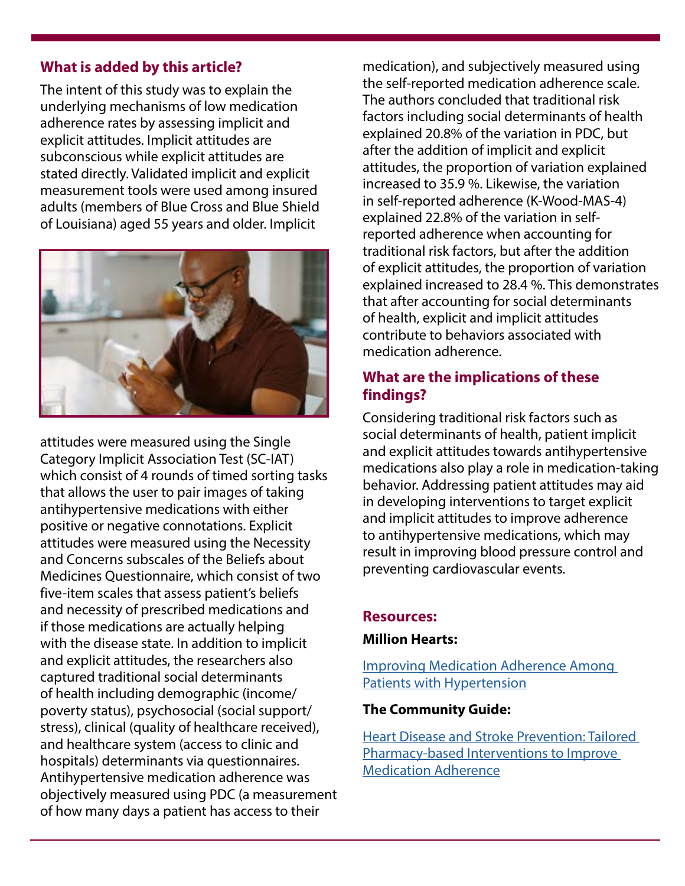### **What is added by this article?**

The intent of this study was to explain the underlying mechanisms of low medication adherence rates by assessing implicit and explicit attitudes. Implicit attitudes are subconscious while explicit attitudes are stated directly. Validated implicit and explicit measurement tools were used among insured adults (members of Blue Cross and Blue Shield of Louisiana) aged 55 years and older. Implicit



attitudes were measured using the Single Category Implicit Association Test (SC-IAT) which consist of 4 rounds of timed sorting tasks that allows the user to pair images of taking antihypertensive medications with either positive or negative connotations. Explicit attitudes were measured using the Necessity and Concerns subscales of the Beliefs about Medicines Questionnaire, which consist of two five-item scales that assess patient's beliefs and necessity of prescribed medications and if those medications are actually helping with the disease state. In addition to implicit and explicit attitudes, the researchers also captured traditional social determinants of health including demographic (income/ poverty status), psychosocial (social support/ stress), clinical (quality of healthcare received), and healthcare system (access to clinic and hospitals) determinants via questionnaires. Antihypertensive medication adherence was objectively measured using PDC (a measurement of how many days a patient has access to their

medication), and subjectively measured using the self-reported medication adherence scale. The authors concluded that traditional risk factors including social determinants of health explained 20.8% of the variation in PDC, but after the addition of implicit and explicit attitudes, the proportion of variation explained increased to 35.9 %. Likewise, the variation in self-reported adherence (K-Wood-MAS-4) explained 22.8% of the variation in selfreported adherence when accounting for traditional risk factors, but after the addition of explicit attitudes, the proportion of variation explained increased to 28.4 %. This demonstrates that after accounting for social determinants of health, explicit and implicit attitudes contribute to behaviors associated with medication adherence.

### **What are the implications of these findings?**

Considering traditional risk factors such as social determinants of health, patient implicit and explicit attitudes towards antihypertensive medications also play a role in medication-taking behavior. Addressing patient attitudes may aid in developing interventions to target explicit and implicit attitudes to improve adherence to antihypertensive medications, which may result in improving blood pressure control and preventing cardiovascular events.

#### **Resources:**

#### **Million Hearts:**

[Improving Medication Adherence Among](https://millionhearts.hhs.gov/data-reports/factsheets/adherence.html)  [Patients with Hypertension](https://millionhearts.hhs.gov/data-reports/factsheets/adherence.html) 

### **The Community Guide:**

[Heart Disease and Stroke Prevention: Tailored](https://www.thecommunityguide.org/content/tffrs-heart-disease-stroke-prevention-tailored-pharmacy-based-interventions-improve-medication-adherence)  [Pharmacy-based Interventions to Improve](https://www.thecommunityguide.org/content/tffrs-heart-disease-stroke-prevention-tailored-pharmacy-based-interventions-improve-medication-adherence)  [Medication Adherence](https://www.thecommunityguide.org/content/tffrs-heart-disease-stroke-prevention-tailored-pharmacy-based-interventions-improve-medication-adherence)